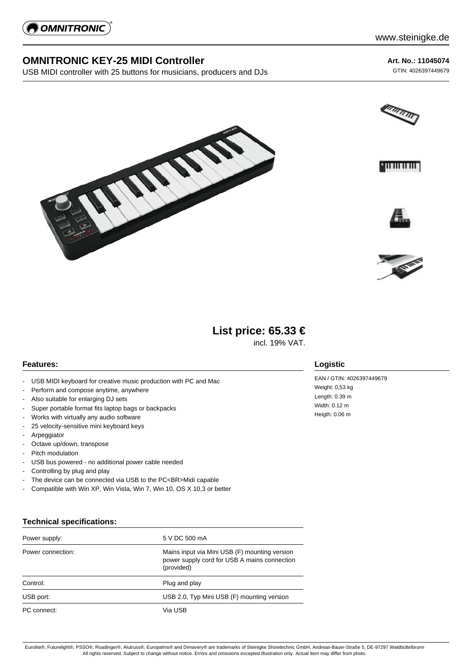

# **OMNITRONIC KEY-25 MIDI Controller**

USB MIDI controller with 25 buttons for musicians, producers and DJs

**Art. No.: 11045074** GTIN: 4026397449679











# **List price: 65.33 €**

incl. 19% VAT.

#### **Features:**

- USB MIDI keyboard for creative music production with PC and Mac
- Perform and compose anytime, anywhere
- Also suitable for enlarging DJ sets
- Super portable format fits laptop bags or backpacks
- Works with virtually any audio software
- 25 velocity-sensitive mini keyboard keys
- **Arpeggiator**
- Octave up/down, transpose
- Pitch modulation
- USB bus powered no additional power cable needed
- Controlling by plug and play
- The device can be connected via USB to the PC<BR>Midi capable
- Compatible with Win XP, Win Vista, Win 7, Win 10, OS X 10,3 or better

## **Technical specifications:**

| Power supply:     | 5 V DC 500 mA                                                                                               |
|-------------------|-------------------------------------------------------------------------------------------------------------|
| Power connection: | Mains input via Mini USB (F) mounting version<br>power supply cord for USB A mains connection<br>(provided) |
| Control:          | Plug and play                                                                                               |
| USB port:         | USB 2.0, Typ Mini USB (F) mounting version                                                                  |
| PC connect:       | Via USB                                                                                                     |

### **Logistic**

EAN / GTIN: 4026397449679 Weight: 0,53 kg Length: 0.39 m Width: 0.12 m Heigth: 0.06 m

Eurolite®, Futurelight®, PSSO®, Roadinger®, Alutruss®, Europalms® and Dimavery® are trademarks of Steinigke Showtechnic GmbH, Andreas-Bauer-Straße 5, DE-97297 Waldbüttelbrunn All rights reserved. Subject to change without notice. Errors and omissions excepted.Illustration only. Actual item may differ from photo.